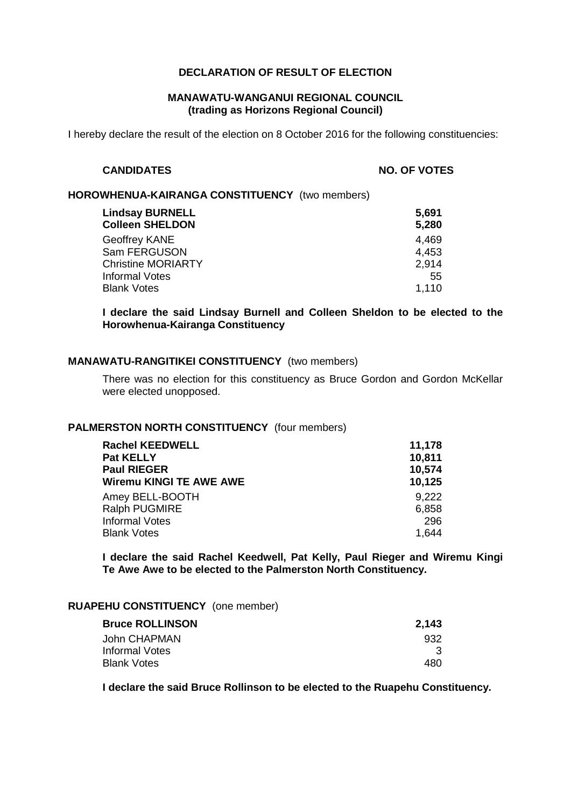# **DECLARATION OF RESULT OF ELECTION**

## **MANAWATU-WANGANUI REGIONAL COUNCIL (trading as Horizons Regional Council)**

I hereby declare the result of the election on 8 October 2016 for the following constituencies:

#### **CANDIDATES NO. OF VOTES**

#### **HOROWHENUA-KAIRANGA CONSTITUENCY** (two members)

| 5,691<br>5,280 |
|----------------|
| 4.469          |
| 4.453          |
| 2,914          |
| 55             |
| 1,110          |
|                |

**I declare the said Lindsay Burnell and Colleen Sheldon to be elected to the Horowhenua-Kairanga Constituency**

## **MANAWATU-RANGITIKEI CONSTITUENCY** (two members)

There was no election for this constituency as Bruce Gordon and Gordon McKellar were elected unopposed.

#### **PALMERSTON NORTH CONSTITUENCY** (four members)

| <b>Rachel KEEDWELL</b>  | 11,178 |
|-------------------------|--------|
| Pat KELLY               | 10,811 |
| <b>Paul RIEGER</b>      | 10,574 |
| Wiremu KINGI TE AWE AWE | 10,125 |
| Amey BELL-BOOTH         | 9.222  |
| Ralph PUGMIRE           | 6,858  |
| <b>Informal Votes</b>   | 296    |
| <b>Blank Votes</b>      | 1.644  |

**I declare the said Rachel Keedwell, Pat Kelly, Paul Rieger and Wiremu Kingi Te Awe Awe to be elected to the Palmerston North Constituency.**

## **RUAPEHU CONSTITUENCY** (one member)

| 2,143 |
|-------|
| 932   |
|       |
| 480.  |
|       |

**I declare the said Bruce Rollinson to be elected to the Ruapehu Constituency.**